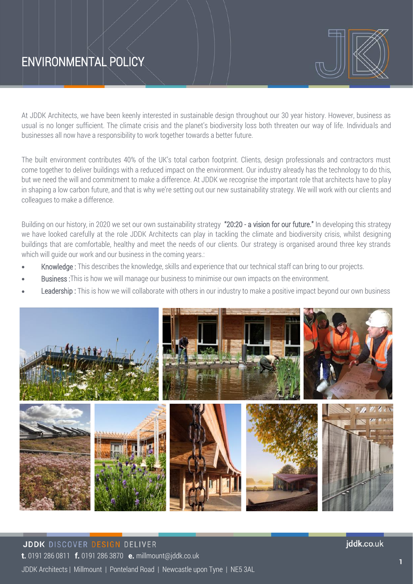# ENVIRONMENTAL POLICY



At JDDK Architects, we have been keenly interested in sustainable design throughout our 30 year history. However, business as usual is no longer sufficient. The climate crisis and the planet's biodiversity loss both threaten our way of life. Individuals and businesses all now have a responsibility to work together towards a better future.

The built environment contributes 40% of the UK's total carbon footprint. Clients, design professionals and contractors must come together to deliver buildings with a reduced impact on the environment. Our industry already has the technology to do this, but we need the will and commitment to make a difference. At JDDK we recognise the important role that architects have to play in shaping a low carbon future, and that is why we're setting out our new sustainability strategy. We will work with our clients and colleagues to make a difference.

Building on our history, in 2020 we set our own sustainability strategy "20:20 - a vision for our future." In developing this strategy we have looked carefully at the role JDDK Architects can play in tackling the climate and biodiversity crisis, whilst designing buildings that are comfortable, healthy and meet the needs of our clients. Our strategy is organised around three key strands which will quide our work and our business in the coming years.:

- Knowledge: This describes the knowledge, skills and experience that our technical staff can bring to our projects.
- **Business**: This is how we will manage our business to minimise our own impacts on the environment.
- Leadership : This is how we will collaborate with others in our industry to make a positive impact beyond our own business



iddk.co.uk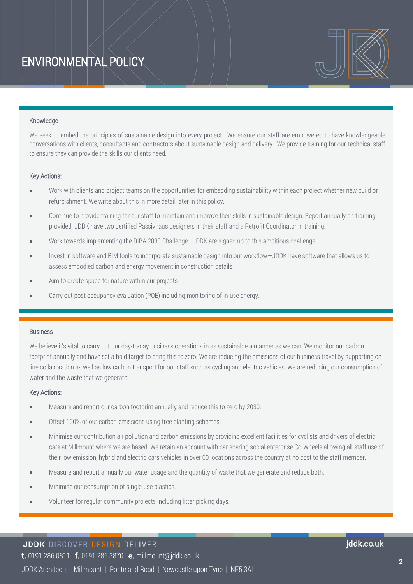

#### Knowledge

We seek to embed the principles of sustainable design into every project. We ensure our staff are empowered to have knowledgeable conversations with clients, consultants and contractors about sustainable design and delivery. We provide training for our technical staff to ensure they can provide the skills our clients need.

#### Key Actions:

- Work with clients and project teams on the opportunities for embedding sustainability within each project whether new build or refurbishment. We write about this in more detail later in this policy.
- Continue to provide training for our staff to maintain and improve their skills in sustainable design. Report annually on training provided. JDDK have two certified Passivhaus designers in their staff and a Retrofit Coordinator in training.
- Work towards implementing the RIBA 2030 Challenge—JDDK are signed up to this ambitious challenge
- Invest in software and BIM tools to incorporate sustainable design into our workflow—JDDK have software that allows us to assess embodied carbon and energy movement in construction details
- Aim to create space for nature within our projects
- Carry out post occupancy evaluation (POE) including monitoring of in-use energy.

#### Business

We believe it's vital to carry out our day-to-day business operations in as sustainable a manner as we can. We monitor our carbon footprint annually and have set a bold target to bring this to zero. We are reducing the emissions of our business travel by supporting online collaboration as well as low carbon transport for our staff such as cycling and electric vehicles. We are reducing our consumption of water and the waste that we generate.

#### Key Actions:

- Measure and report our carbon footprint annually and reduce this to zero by 2030.
- Offset 100% of our carbon emissions using tree planting schemes.
- Minimise our contribution air pollution and carbon emissions by providing excellent facilities for cyclists and drivers of electric cars at Millmount where we are based. We retain an account with car sharing social enterprise Co-Wheels allowing all staff use of their low emission, hybrid and electric cars vehicles in over 60 locations across the country at no cost to the staff member.
- Measure and report annually our water usage and the quantity of waste that we generate and reduce both.
- Minimise our consumption of single-use plastics.
- Volunteer for regular community projects including litter picking days.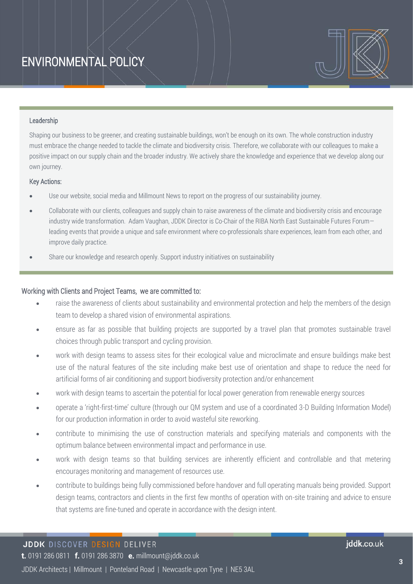

#### Leadership

Shaping our business to be greener, and creating sustainable buildings, won't be enough on its own. The whole construction industry must embrace the change needed to tackle the climate and biodiversity crisis. Therefore, we collaborate with our colleagues to make a positive impact on our supply chain and the broader industry. We actively share the knowledge and experience that we develop along our own journey.

#### Key Actions:

- Use our website, social media and Millmount News to report on the progress of our sustainability journey.
- Collaborate with our clients, colleagues and supply chain to raise awareness of the climate and biodiversity crisis and encourage industry wide transformation. Adam Vaughan, JDDK Director is Co-Chair of the RIBA North East Sustainable Futures Forum leading events that provide a unique and safe environment where co-professionals share experiences, learn from each other, and improve daily practice.
- Share our knowledge and research openly. Support industry initiatives on sustainability

#### Working with Clients and Project Teams, we are committed to:

- raise the awareness of clients about sustainability and environmental protection and help the members of the design team to develop a shared vision of environmental aspirations.
- ensure as far as possible that building projects are supported by a travel plan that promotes sustainable travel choices through public transport and cycling provision.
- work with design teams to assess sites for their ecological value and microclimate and ensure buildings make best use of the natural features of the site including make best use of orientation and shape to reduce the need for artificial forms of air conditioning and support biodiversity protection and/or enhancement
- work with design teams to ascertain the potential for local power generation from renewable energy sources
- operate a 'right-first-time' culture (through our QM system and use of a coordinated 3-D Building Information Model) for our production information in order to avoid wasteful site reworking.
- contribute to minimising the use of construction materials and specifying materials and components with the optimum balance between environmental impact and performance in use.
- work with design teams so that building services are inherently efficient and controllable and that metering encourages monitoring and management of resources use.
- contribute to buildings being fully commissioned before handover and full operating manuals being provided. Support design teams, contractors and clients in the first few months of operation with on-site training and advice to ensure that systems are fine-tuned and operate in accordance with the design intent.